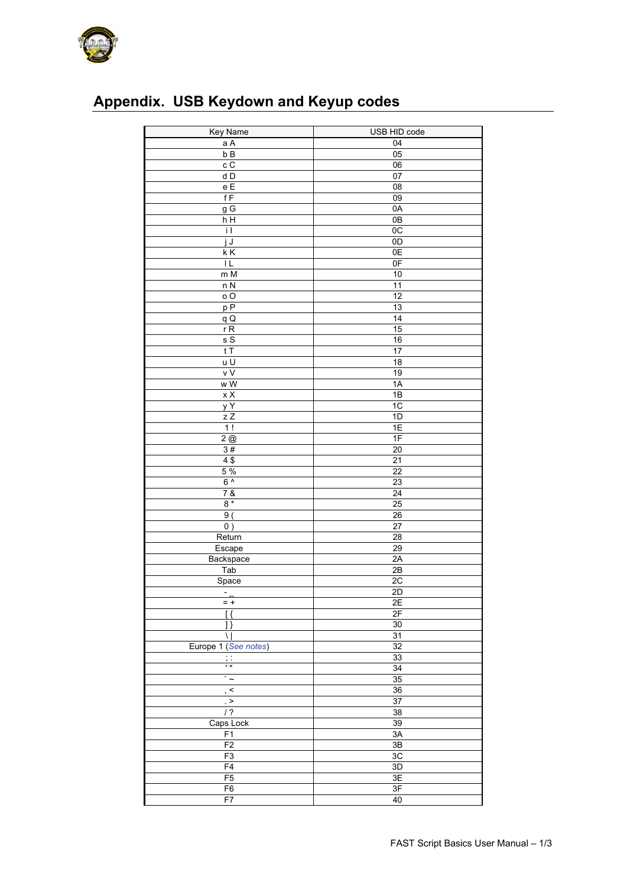

## **Appendix. USB Keydown and Keyup codes**

| Key Name                                     | USB HID code    |
|----------------------------------------------|-----------------|
| $a \land$                                    | 04              |
| b B                                          | 05              |
| cC                                           | $\overline{06}$ |
| d D                                          | 07              |
| e E                                          | 08              |
| fF                                           | $\overline{09}$ |
| $g\overline{G}$                              | 0A              |
| h H                                          | 0B              |
| i I                                          | 0C              |
| j J                                          | 0D              |
| $\overline{\overline{\mathsf{K}}\mathsf{K}}$ | 0E              |
| ΙL                                           | 0 <sub>F</sub>  |
| m M                                          | 10              |
| nN                                           | $\overline{11}$ |
| $\circ$ O                                    | 12              |
| pP                                           | $\overline{13}$ |
| qQ                                           | $\overline{14}$ |
| rR                                           | 15              |
| sS                                           | 16              |
| tT                                           | $\overline{17}$ |
| $\overline{u}$                               | $\overline{18}$ |
| v V                                          | 19              |
| w W                                          | 1A              |
| $\times$ X                                   | 1B              |
| $\overline{y}$ Y                             | 1C              |
| z Z                                          | 1D              |
| 1!                                           | 1E              |
| 2@                                           | 1F              |
| 3#                                           | 20              |
| 4\$                                          | 21              |
| 5%                                           | $\overline{22}$ |
| $6^{\prime}$                                 | $\overline{23}$ |
| 7 &                                          | 24              |
| $8*$                                         | $\overline{25}$ |
| 9                                            | 26              |
| 0)                                           | 27              |
| Return                                       | $\overline{28}$ |
| Escape                                       | 29              |
| Backspace                                    | 2A              |
| Tab                                          | 2B              |
| Space                                        | 2C              |
| $\overline{\phantom{a}}$                     | 2D              |
| $= +$                                        | 2E              |
| [ {                                          | 2F              |
| 1}                                           | 30              |
| $\setminus$                                  | $\overline{31}$ |
| Europe 1 (See notes)                         | 32              |
| $\vdots$                                     | 33              |
| īπ                                           | $\overline{34}$ |
| $\cdot$ $\sim$                               | 35              |
| $\overline{\cdot}$                           | 36              |
| $_{\rm \star}$ $>$                           | 37              |
| $/$ ?                                        | 38              |
| Caps Lock                                    | 39              |
| F1                                           | 3A              |
| F <sub>2</sub>                               | $3\mathsf{B}$   |
| F3                                           | 3C              |
| F4                                           | 3D              |
| F5                                           | 3E              |
| F <sub>6</sub>                               | 3F              |
| F7                                           | 40              |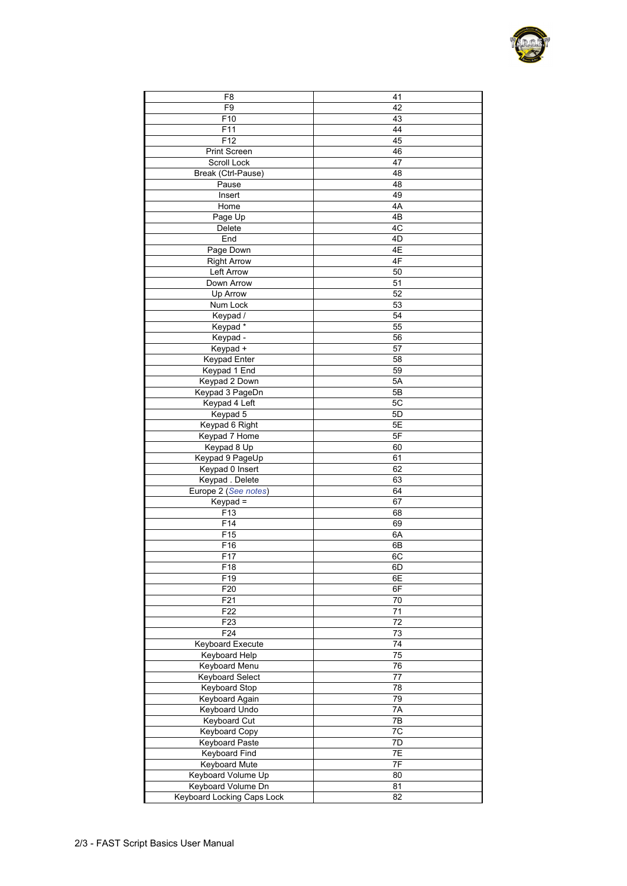| F8                         | 41              |
|----------------------------|-----------------|
| F <sub>9</sub>             | 42              |
|                            |                 |
| F10                        | 43              |
| F11                        | 44              |
| F12                        | 45              |
| Print Screen               | 46              |
| Scroll Lock                | 47              |
| Break (Ctrl-Pause)         | 48              |
| Pause                      | 48              |
| Insert                     | 49              |
| Home                       | 4A              |
|                            | 4B              |
| Page Up                    |                 |
| Delete                     | 4C              |
| End                        | 4D              |
| Page Down                  | 4E              |
| <b>Right Arrow</b>         | 4F              |
| Left Arrow                 | 50              |
| Down Arrow                 | 51              |
| Up Arrow                   | 52              |
| Num Lock                   | 53              |
| Keypad /                   | 54              |
|                            | 55              |
| Keypad*                    |                 |
| Keypad -                   | 56              |
| Keypad +                   | 57              |
| <b>Keypad Enter</b>        | 58              |
| Keypad 1 End               | 59              |
| Keypad 2 Down              | 5A              |
| Keypad 3 PageDn            | 5B              |
| Keypad 4 Left              | 5C              |
| Keypad 5                   | 5D              |
|                            | 5Е              |
| Keypad 6 Right             |                 |
| Keypad 7 Home              | 5F              |
| Keypad 8 Up                | 60              |
| Keypad 9 PageUp            | 61              |
| Keypad 0 Insert            | 62              |
| Keypad . Delete            | 63              |
| Europe 2 (See notes)       | 64              |
| Keypad =                   | 67              |
| F <sub>13</sub>            | 68              |
| F14                        | 69              |
| F <sub>15</sub>            | 6A              |
|                            |                 |
| F16                        | 6В              |
| F17                        | 6C              |
| F18                        | 6D              |
| F19                        | 6E              |
| F <sub>20</sub>            | 6F              |
| F <sub>21</sub>            | $\overline{70}$ |
| F <sub>22</sub>            | 71              |
| F <sub>23</sub>            | $\overline{72}$ |
| F <sub>24</sub>            | 73              |
| <b>Keyboard Execute</b>    | 74              |
| Keyboard Help              | $\overline{75}$ |
|                            |                 |
| <b>Keyboard Menu</b>       | $\overline{76}$ |
| <b>Keyboard Select</b>     | 77              |
| <b>Keyboard Stop</b>       | $\overline{78}$ |
| <b>Keyboard Again</b>      | $\overline{79}$ |
| <b>Keyboard Undo</b>       | 7A              |
| Keyboard Cut               | 7B              |
| <b>Keyboard Copy</b>       | $\overline{7C}$ |
| <b>Keyboard Paste</b>      | 7D              |
| <b>Keyboard Find</b>       | 7E              |
| Keyboard Mute              | 7F              |
| Keyboard Volume Up         | 80              |
|                            |                 |
| Keyboard Volume Dn         | 81              |
| Keyboard Locking Caps Lock | 82              |